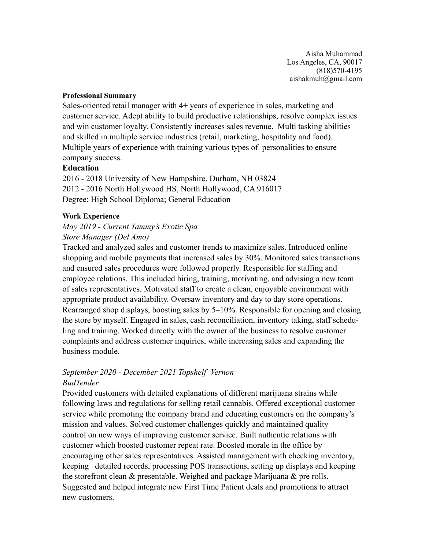Aisha Muhammad Los Angeles, CA, 90017 (818)570-4195 aishakmuh@gmail.com

#### **Professional Summary**

Sales-oriented retail manager with 4+ years of experience in sales, marketing and customer service. Adept ability to build productive relationships, resolve complex issues and win customer loyalty. Consistently increases sales revenue. Multi tasking abilities and skilled in multiple service industries (retail, marketing, hospitality and food). Multiple years of experience with training various types of personalities to ensure company success.

### **Education**

2016 - 2018 University of New Hampshire, Durham, NH 03824 2012 - 2016 North Hollywood HS, North Hollywood, CA 916017 Degree: High School Diploma; General Education

### **Work Experience**

# *May 2019 - Current Tammy's Exotic Spa Store Manager (Del Amo)*

Tracked and analyzed sales and customer trends to maximize sales. Introduced online shopping and mobile payments that increased sales by 30%. Monitored sales transactions and ensured sales procedures were followed properly. Responsible for staffing and employee relations. This included hiring, training, motivating, and advising a new team of sales representatives. Motivated staff to create a clean, enjoyable environment with appropriate product availability. Oversaw inventory and day to day store operations. Rearranged shop displays, boosting sales by 5–10%. Responsible for opening and closing the store by myself. Engaged in sales, cash reconciliation, inventory taking, staff scheduling and training. Worked directly with the owner of the business to resolve customer complaints and address customer inquiries, while increasing sales and expanding the business module.

### *September 2020 - December 2021 Topshelf Vernon BudTender*

Provided customers with detailed explanations of different marijuana strains while following laws and regulations for selling retail cannabis. Offered exceptional customer service while promoting the company brand and educating customers on the company's mission and values. Solved customer challenges quickly and maintained quality control on new ways of improving customer service. Built authentic relations with customer which boosted customer repeat rate. Boosted morale in the office by encouraging other sales representatives. Assisted management with checking inventory, keeping detailed records, processing POS transactions, setting up displays and keeping the storefront clean & presentable. Weighed and package Marijuana & pre rolls. Suggested and helped integrate new First Time Patient deals and promotions to attract new customers.